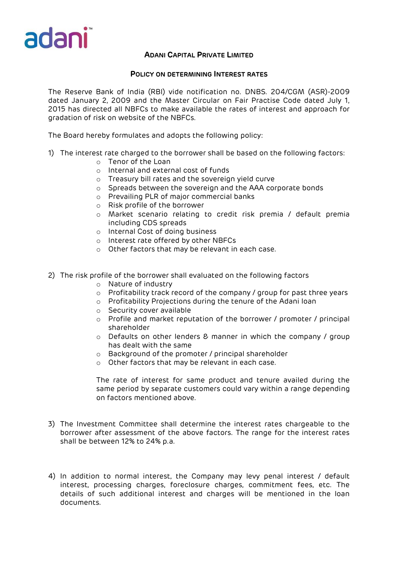

## **ADANI CAPITAL PRIVATE LIMITED**

## **POLICY ON DETERMINING INTEREST RATES**

The Reserve Bank of India (RBI) vide notification no. DNBS. 204/CGM (ASR)-2009 dated January 2, 2009 and the Master Circular on Fair Practise Code dated July 1, 2015 has directed all NBFCs to make available the rates of interest and approach for gradation of risk on website of the NBFCs.

The Board hereby formulates and adopts the following policy:

- 1) The interest rate charged to the borrower shall be based on the following factors:
	- o Tenor of the Loan
	- o Internal and external cost of funds
	- o Treasury bill rates and the sovereign yield curve
	- o Spreads between the sovereign and the AAA corporate bonds
	- o Prevailing PLR of major commercial banks
	- o Risk profile of the borrower
	- o Market scenario relating to credit risk premia / default premia including CDS spreads
	- o Internal Cost of doing business
	- o Interest rate offered by other NBFCs
	- o Other factors that may be relevant in each case.
- 2) The risk profile of the borrower shall evaluated on the following factors
	- o Nature of industry
	- $\circ$  Profitability track record of the company / group for past three years
	- o Profitability Projections during the tenure of the Adani loan
	- o Security cover available
	- o Profile and market reputation of the borrower / promoter / principal shareholder
	- o Defaults on other lenders & manner in which the company / group has dealt with the same
	- o Background of the promoter / principal shareholder
	- o Other factors that may be relevant in each case.

The rate of interest for same product and tenure availed during the same period by separate customers could vary within a range depending on factors mentioned above.

- 3) The Investment Committee shall determine the interest rates chargeable to the borrower after assessment of the above factors. The range for the interest rates shall be between 12% to 24% p.a.
- 4) In addition to normal interest, the Company may levy penal interest / default interest, processing charges, foreclosure charges, commitment fees, etc. The details of such additional interest and charges will be mentioned in the loan documents.